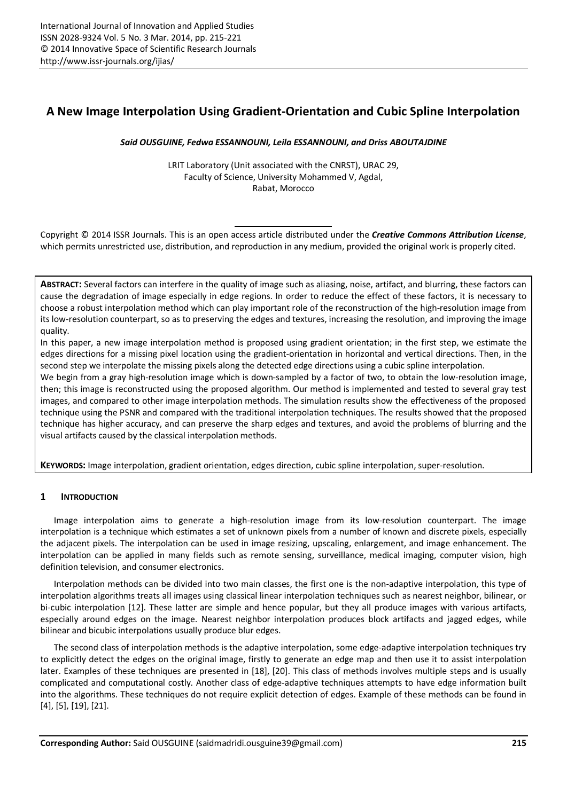# **A New Image Interpolation Using Gradient-Orientation and Cubic Spline Interpolation**

*Said OUSGUINE, Fedwa ESSANNOUNI, Leila ESSANNOUNI, and Driss ABOUTAJDINE* 

LRIT Laboratory (Unit associated with the CNRST), URAC 29, Faculty of Science, University Mohammed V, Agdal, Rabat, Morocco

Copyright © 2014 ISSR Journals. This is an open access article distributed under the *Creative Commons Attribution License*, which permits unrestricted use, distribution, and reproduction in any medium, provided the original work is properly cited.

**ABSTRACT:** Several factors can interfere in the quality of image such as aliasing, noise, artifact, and blurring, these factors can cause the degradation of image especially in edge regions. In order to reduce the effect of these factors, it is necessary to choose a robust interpolation method which can play important role of the reconstruction of the high-resolution image from its low-resolution counterpart, so as to preserving the edges and textures, increasing the resolution, and improving the image quality.

In this paper, a new image interpolation method is proposed using gradient orientation; in the first step, we estimate the edges directions for a missing pixel location using the gradient-orientation in horizontal and vertical directions. Then, in the second step we interpolate the missing pixels along the detected edge directions using a cubic spline interpolation.

We begin from a gray high-resolution image which is down-sampled by a factor of two, to obtain the low-resolution image, then; this image is reconstructed using the proposed algorithm. Our method is implemented and tested to several gray test images, and compared to other image interpolation methods. The simulation results show the effectiveness of the proposed technique using the PSNR and compared with the traditional interpolation techniques. The results showed that the proposed technique has higher accuracy, and can preserve the sharp edges and textures, and avoid the problems of blurring and the visual artifacts caused by the classical interpolation methods.

**KEYWORDS:** Image interpolation, gradient orientation, edges direction, cubic spline interpolation, super-resolution.

## **1 INTRODUCTION**

Image interpolation aims to generate a high-resolution image from its low-resolution counterpart. The image interpolation is a technique which estimates a set of unknown pixels from a number of known and discrete pixels, especially the adjacent pixels. The interpolation can be used in image resizing, upscaling, enlargement, and image enhancement. The interpolation can be applied in many fields such as remote sensing, surveillance, medical imaging, computer vision, high definition television, and consumer electronics.

Interpolation methods can be divided into two main classes, the first one is the non-adaptive interpolation, this type of interpolation algorithms treats all images using classical linear interpolation techniques such as nearest neighbor, bilinear, or bi-cubic interpolation [12]. These latter are simple and hence popular, but they all produce images with various artifacts, especially around edges on the image. Nearest neighbor interpolation produces block artifacts and jagged edges, while bilinear and bicubic interpolations usually produce blur edges.

The second class of interpolation methods is the adaptive interpolation, some edge-adaptive interpolation techniques try to explicitly detect the edges on the original image, firstly to generate an edge map and then use it to assist interpolation later. Examples of these techniques are presented in [18], [20]. This class of methods involves multiple steps and is usually complicated and computational costly. Another class of edge-adaptive techniques attempts to have edge information built into the algorithms. These techniques do not require explicit detection of edges. Example of these methods can be found in [4], [5], [19], [21].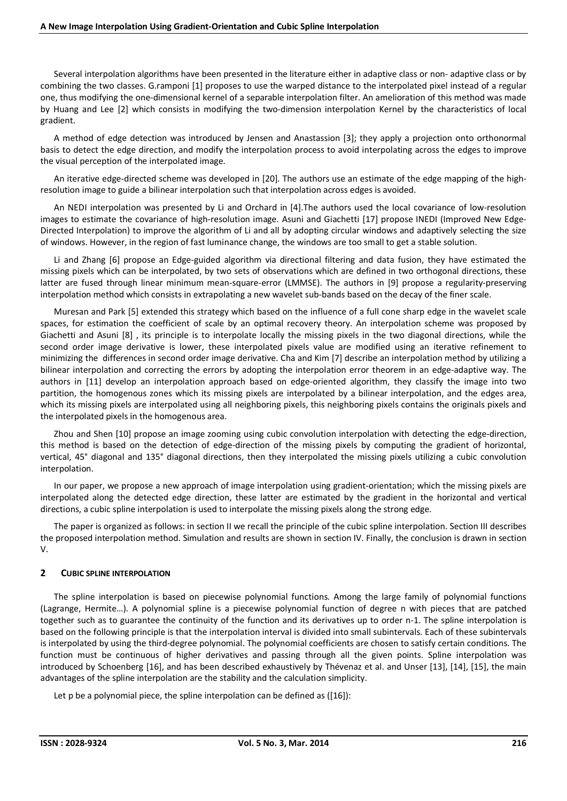Several interpolation algorithms have been presented in the literature either in adaptive class or non- adaptive class or by combining the two classes. G.ramponi [1] proposes to use the warped distance to the interpolated pixel instead of a regular one, thus modifying the one-dimensional kernel of a separable interpolation filter. An amelioration of this method was made by Huang and Lee [2] which consists in modifying the two-dimension interpolation Kernel by the characteristics of local gradient.

A method of edge detection was introduced by Jensen and Anastassion [3]; they apply a projection onto orthonormal basis to detect the edge direction, and modify the interpolation process to avoid interpolating across the edges to improve the visual perception of the interpolated image.

An iterative edge-directed scheme was developed in [20]. The authors use an estimate of the edge mapping of the highresolution image to guide a bilinear interpolation such that interpolation across edges is avoided.

An NEDI interpolation was presented by Li and Orchard in [4].The authors used the local covariance of low-resolution images to estimate the covariance of high-resolution image. Asuni and Giachetti [17] propose INEDI (Improved New Edge-Directed Interpolation) to improve the algorithm of Li and all by adopting circular windows and adaptively selecting the size of windows. However, in the region of fast luminance change, the windows are too small to get a stable solution.

Li and Zhang [6] propose an Edge-guided algorithm via directional filtering and data fusion, they have estimated the missing pixels which can be interpolated, by two sets of observations which are defined in two orthogonal directions, these latter are fused through linear minimum mean-square-error (LMMSE). The authors in [9] propose a regularity-preserving interpolation method which consists in extrapolating a new wavelet sub-bands based on the decay of the finer scale.

Muresan and Park [5] extended this strategy which based on the influence of a full cone sharp edge in the wavelet scale spaces, for estimation the coefficient of scale by an optimal recovery theory. An interpolation scheme was proposed by Giachetti and Asuni [8] , its principle is to interpolate locally the missing pixels in the two diagonal directions, while the second order image derivative is lower, these interpolated pixels value are modified using an iterative refinement to minimizing the differences in second order image derivative. Cha and Kim [7] describe an interpolation method by utilizing a bilinear interpolation and correcting the errors by adopting the interpolation error theorem in an edge-adaptive way. The authors in [11] develop an interpolation approach based on edge-oriented algorithm, they classify the image into two partition, the homogenous zones which its missing pixels are interpolated by a bilinear interpolation, and the edges area, which its missing pixels are interpolated using all neighboring pixels, this neighboring pixels contains the originals pixels and the interpolated pixels in the homogenous area.

Zhou and Shen [10] propose an image zooming using cubic convolution interpolation with detecting the edge-direction, this method is based on the detection of edge-direction of the missing pixels by computing the gradient of horizontal, vertical, 45° diagonal and 135° diagonal directions, then they interpolated the missing pixels utilizing a cubic convolution interpolation.

In our paper, we propose a new approach of image interpolation using gradient-orientation; which the missing pixels are interpolated along the detected edge direction, these latter are estimated by the gradient in the horizontal and vertical directions, a cubic spline interpolation is used to interpolate the missing pixels along the strong edge.

The paper is organized as follows: in section II we recall the principle of the cubic spline interpolation. Section III describes the proposed interpolation method. Simulation and results are shown in section IV. Finally, the conclusion is drawn in section V.

### **2 CUBIC SPLINE INTERPOLATION**

The spline interpolation is based on piecewise polynomial functions. Among the large family of polynomial functions (Lagrange, Hermite…). A polynomial spline is a piecewise polynomial function of degree n with pieces that are patched together such as to guarantee the continuity of the function and its derivatives up to order n-1. The spline interpolation is based on the following principle is that the interpolation interval is divided into small subintervals. Each of these subintervals is interpolated by using the third-degree polynomial. The polynomial coefficients are chosen to satisfy certain conditions. The function must be continuous of higher derivatives and passing through all the given points. Spline interpolation was introduced by Schoenberg [16], and has been described exhaustively by Thévenaz et al. and Unser [13], [14], [15], the main advantages of the spline interpolation are the stability and the calculation simplicity.

Let p be a polynomial piece, the spline interpolation can be defined as ([16]):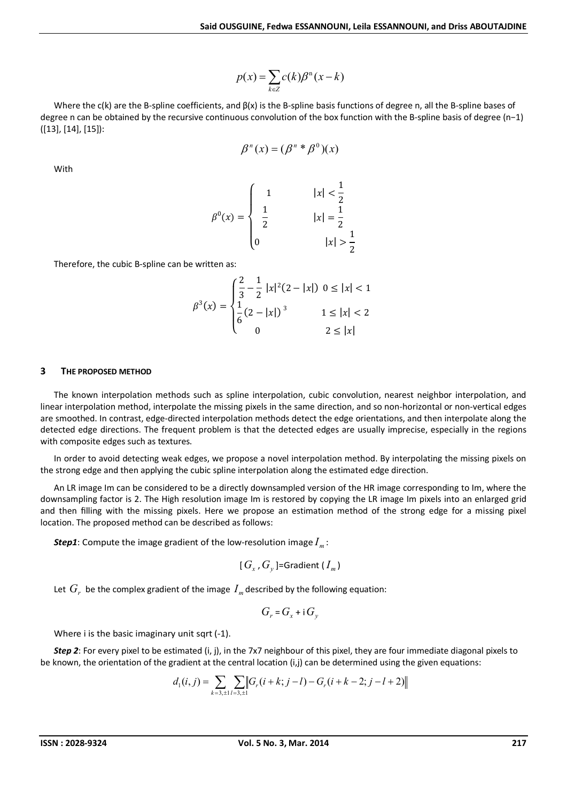$$
p(x) = \sum_{k \in \mathbb{Z}} c(k) \beta^{n}(x - k)
$$

Where the c(k) are the B-spline coefficients, and  $\beta(x)$  is the B-spline basis functions of degree n, all the B-spline bases of degree n can be obtained by the recursive continuous convolution of the box function with the B-spline basis of degree (n−1) ([13], [14], [15]):

$$
\beta^{n}(x) = (\beta^{n} * \beta^{0})(x)
$$

With

$$
\beta^{0}(x) = \begin{cases}\n1 & |x| < \frac{1}{2} \\
\frac{1}{2} & |x| = \frac{1}{2} \\
0 & |x| > \frac{1}{2}\n\end{cases}
$$

Therefore, the cubic B-spline can be written as:

$$
\beta^{3}(x) = \begin{cases} \frac{2}{3} - \frac{1}{2} |x|^{2} (2 - |x|) & 0 \le |x| < 1 \\ \frac{1}{6} (2 - |x|)^{3} & 1 \le |x| < 2 \\ 0 & 2 \le |x| \end{cases}
$$

#### **3 THE PROPOSED METHOD**

The known interpolation methods such as spline interpolation, cubic convolution, nearest neighbor interpolation, and linear interpolation method, interpolate the missing pixels in the same direction, and so non-horizontal or non-vertical edges are smoothed. In contrast, edge-directed interpolation methods detect the edge orientations, and then interpolate along the detected edge directions. The frequent problem is that the detected edges are usually imprecise, especially in the regions with composite edges such as textures.

In order to avoid detecting weak edges, we propose a novel interpolation method. By interpolating the missing pixels on the strong edge and then applying the cubic spline interpolation along the estimated edge direction.

An LR image Im can be considered to be a directly downsampled version of the HR image corresponding to Im, where the downsampling factor is 2. The High resolution image Im is restored by copying the LR image Im pixels into an enlarged grid and then filling with the missing pixels. Here we propose an estimation method of the strong edge for a missing pixel location. The proposed method can be described as follows:

**Step1**: Compute the image gradient of the low-resolution image  $I_m$ :

$$
[G_x, G_y]
$$
 =Gradient  $(I_m)$ 

Let  $G_r$  be the complex gradient of the image  $I_m$  described by the following equation:

$$
G_r = G_x + i G_y
$$

Where i is the basic imaginary unit sqrt (-1).

*Step 2*: For every pixel to be estimated (i, j), in the 7x7 neighbour of this pixel, they are four immediate diagonal pixels to be known, the orientation of the gradient at the central location (i,j) can be determined using the given equations:

$$
d_1(i, j) = \sum_{k=3, \pm 1} \sum_{l=3, \pm 1} \left\| G_r(i+k; j-l) - G_r(i+k-2; j-l+2) \right\|
$$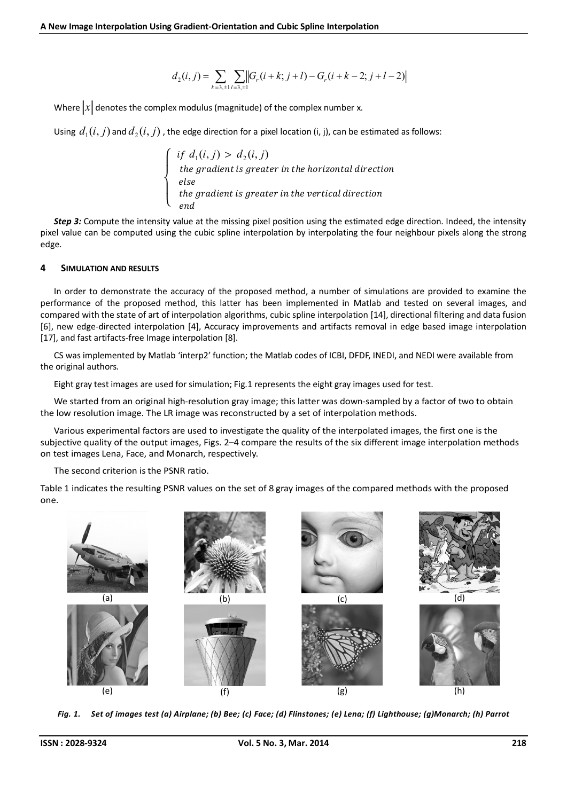$$
d_2(i,j) = \sum_{k=3,\pm 1} \sum_{l=3,\pm 1} \left\| G_r(i+k; j+l) - G_r(i+k-2; j+l-2) \right\|
$$

Where  $\|x\|$  denotes the complex modulus (magnitude) of the complex number x.

Using  $d_1(i, j)$  and  $d_2(i, j)$ , the edge direction for a pixel location (i, j), can be estimated as follows:

 $\overline{\mathcal{L}}$  $\mathbf{I}$  $\frac{1}{2}$  $\mathbf{I}$  $\int$  *if*  $d_1(i, j) > d_2(i, j)$ the gradient is greater in the horizontal direction else van die kommens van die kommens van die kommens van die kommens van die kommens van die kommens van die k the gradient is greater in the vertical direction *end* and the contract of the contract of the contract of the contract of the contract of the contract of the contract of the contract of the contract of the contract of the contract of the contract of the contract of the

*Step 3:* Compute the intensity value at the missing pixel position using the estimated edge direction. Indeed, the intensity pixel value can be computed using the cubic spline interpolation by interpolating the four neighbour pixels along the strong edge.

#### **4 SIMULATION AND RESULTS**

In order to demonstrate the accuracy of the proposed method, a number of simulations are provided to examine the performance of the proposed method, this latter has been implemented in Matlab and tested on several images, and compared with the state of art of interpolation algorithms, cubic spline interpolation [14], directional filtering and data fusion [6], new edge-directed interpolation [4], Accuracy improvements and artifacts removal in edge based image interpolation [17], and fast artifacts-free Image interpolation [8].

CS was implemented by Matlab 'interp2' function; the Matlab codes of ICBI, DFDF, INEDI, and NEDI were available from the original authors.

Eight gray test images are used for simulation; Fig.1 represents the eight gray images used for test.

We started from an original high-resolution gray image; this latter was down-sampled by a factor of two to obtain the low resolution image. The LR image was reconstructed by a set of interpolation methods.

Various experimental factors are used to investigate the quality of the interpolated images, the first one is the subjective quality of the output images, Figs. 2–4 compare the results of the six different image interpolation methods on test images Lena, Face, and Monarch, respectively.

The second criterion is the PSNR ratio.

Table 1 indicates the resulting PSNR values on the set of 8 gray images of the compared methods with the proposed one.



*Fig. 1. Set of images test (a) Airplane; (b) Bee; (c) Face; (d) Flinstones; (e) Lena; (f) Lighthouse; (g)Monarch; (h) Parrot*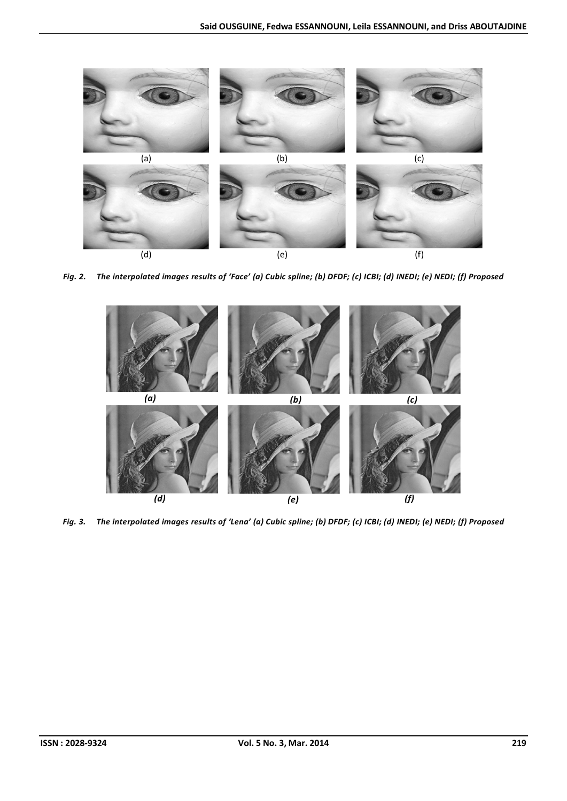

*Fig. 2. The interpolated images results of 'Face' (a) Cubic spline; (b) DFDF; (c) ICBI; (d) INEDI; (e) NEDI; (f) Proposed* 



*Fig. 3. The interpolated images results of 'Lena' (a) Cubic spline; (b) DFDF; (c) ICBI; (d) INEDI; (e) NEDI; (f) Proposed*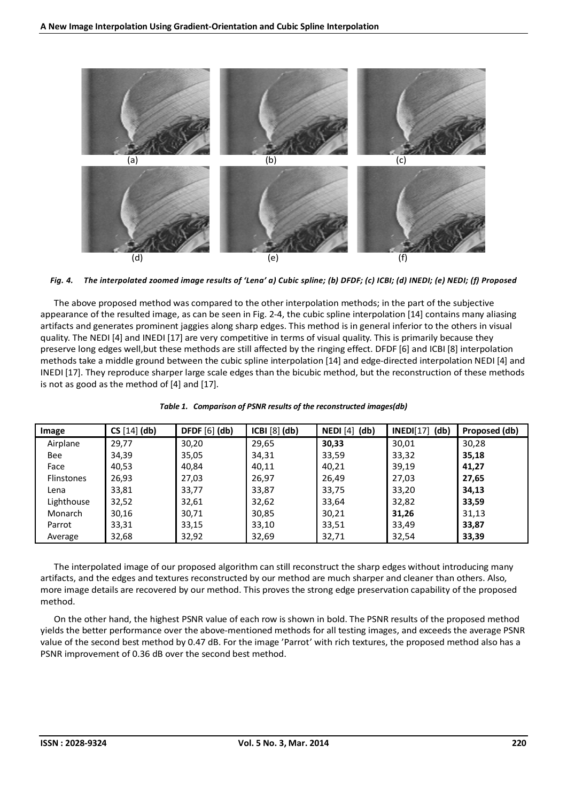

*Fig. 4. The interpolated zoomed image results of 'Lena' a) Cubic spline; (b) DFDF; (c) ICBI; (d) INEDI; (e) NEDI; (f) Proposed* 

The above proposed method was compared to the other interpolation methods; in the part of the subjective appearance of the resulted image, as can be seen in Fig. 2-4, the cubic spline interpolation [14] contains many aliasing artifacts and generates prominent jaggies along sharp edges. This method is in general inferior to the others in visual quality. The NEDI [4] and INEDI [17] are very competitive in terms of visual quality. This is primarily because they preserve long edges well,but these methods are still affected by the ringing effect. DFDF [6] and ICBI [8] interpolation methods take a middle ground between the cubic spline interpolation [14] and edge-directed interpolation NEDI [4] and INEDI [17]. They reproduce sharper large scale edges than the bicubic method, but the reconstruction of these methods is not as good as the method of [4] and [17].

| Image      | CS [14] (db) | DFDF $[6]$ $(db)$ | ICBI [8] (db) | $NEDI[4]$ (db) | $INEDI[17]$ (db) | Proposed (db) |
|------------|--------------|-------------------|---------------|----------------|------------------|---------------|
| Airplane   | 29,77        | 30,20             | 29,65         | 30,33          | 30,01            | 30,28         |
| Bee        | 34,39        | 35,05             | 34,31         | 33,59          | 33,32            | 35,18         |
| Face       | 40,53        | 40,84             | 40,11         | 40,21          | 39,19            | 41,27         |
| Flinstones | 26,93        | 27,03             | 26,97         | 26,49          | 27,03            | 27,65         |
| Lena       | 33,81        | 33,77             | 33,87         | 33,75          | 33,20            | 34,13         |
| Lighthouse | 32,52        | 32,61             | 32,62         | 33,64          | 32,82            | 33,59         |
| Monarch    | 30,16        | 30,71             | 30,85         | 30,21          | 31,26            | 31,13         |
| Parrot     | 33,31        | 33,15             | 33,10         | 33,51          | 33,49            | 33,87         |
| Average    | 32,68        | 32,92             | 32,69         | 32,71          | 32,54            | 33,39         |

| Table 1. Comparison of PSNR results of the reconstructed images(db) |
|---------------------------------------------------------------------|
|---------------------------------------------------------------------|

The interpolated image of our proposed algorithm can still reconstruct the sharp edges without introducing many artifacts, and the edges and textures reconstructed by our method are much sharper and cleaner than others. Also, more image details are recovered by our method. This proves the strong edge preservation capability of the proposed method.

On the other hand, the highest PSNR value of each row is shown in bold. The PSNR results of the proposed method yields the better performance over the above-mentioned methods for all testing images, and exceeds the average PSNR value of the second best method by 0.47 dB. For the image 'Parrot' with rich textures, the proposed method also has a PSNR improvement of 0.36 dB over the second best method.